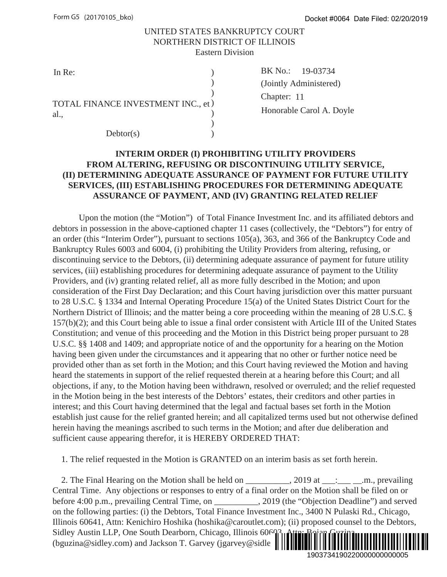### UNITED STATES BANKRUPTCY COURT NORTHERN DISTRICT OF ILLINOIS Eastern Division

)

| TOTAL FINANCE INVESTMENT INC., et) |  |
|------------------------------------|--|
| al.                                |  |
|                                    |  |

Debtor(s) (b)

In Re: BK No.:  $(\text{Chapter: } 11)$ BK No.: 19-03734 (Jointly Administered) Honorable Carol A. Doyle

# **INTERIM ORDER (I) PROHIBITING UTILITY PROVIDERS FROM ALTERING, REFUSING OR DISCONTINUING UTILITY SERVICE, (II) DETERMINING ADEQUATE ASSURANCE OF PAYMENT FOR FUTURE UTILITY SERVICES, (III) ESTABLISHING PROCEDURES FOR DETERMINING ADEQUATE ASSURANCE OF PAYMENT, AND (IV) GRANTING RELATED RELIEF**

Upon the motion (the "Motion") of Total Finance Investment Inc. and its affiliated debtors and debtors in possession in the above-captioned chapter 11 cases (collectively, the "Debtors") for entry of an order (this "Interim Order"), pursuant to sections 105(a), 363, and 366 of the Bankruptcy Code and Bankruptcy Rules 6003 and 6004, (i) prohibiting the Utility Providers from altering, refusing, or discontinuing service to the Debtors, (ii) determining adequate assurance of payment for future utility services, (iii) establishing procedures for determining adequate assurance of payment to the Utility Providers, and (iv) granting related relief, all as more fully described in the Motion; and upon consideration of the First Day Declaration; and this Court having jurisdiction over this matter pursuant to 28 U.S.C. § 1334 and Internal Operating Procedure 15(a) of the United States District Court for the Northern District of Illinois; and the matter being a core proceeding within the meaning of 28 U.S.C. § 157(b)(2); and this Court being able to issue a final order consistent with Article III of the United States Constitution; and venue of this proceeding and the Motion in this District being proper pursuant to 28 U.S.C. §§ 1408 and 1409; and appropriate notice of and the opportunity for a hearing on the Motion having been given under the circumstances and it appearing that no other or further notice need be provided other than as set forth in the Motion; and this Court having reviewed the Motion and having heard the statements in support of the relief requested therein at a hearing before this Court; and all objections, if any, to the Motion having been withdrawn, resolved or overruled; and the relief requested in the Motion being in the best interests of the Debtors' estates, their creditors and other parties in interest; and this Court having determined that the legal and factual bases set forth in the Motion establish just cause for the relief granted herein; and all capitalized terms used but not otherwise defined herein having the meanings ascribed to such terms in the Motion; and after due deliberation and sufficient cause appearing therefor, it is HEREBY ORDERED THAT: Docket #0064 Date Filed: 02/20/2019<br>
9-03734<br>
ainistered)<br>
Carol A. Doyle<br> **PROVIDERS**<br> **CALCONTERY SERVICE,**<br> **TFOR FUTURE UTILITY**<br> **ERMINING ADEQUATE**<br> **CELATED RELIEF**<br>
c. and its affiliated debtors and<br>
by, the "Debt

1. The relief requested in the Motion is GRANTED on an interim basis as set forth herein.

2. The Final Hearing on the Motion shall be held on \_\_\_\_\_\_\_\_, 2019 at \_\_\_: \_\_\_ \_\_.m., prevailing Central Time. Any objections or responses to entry of a final order on the Motion shall be filed on or before 4:00 p.m., prevailing Central Time, on \_\_\_\_\_\_\_\_\_\_, 2019 (the "Objection Deadline") and served on the following parties: (i) the Debtors, Total Finance Investment Inc., 3400 N Pulaski Rd., Chicago, Illinois 60641, Attn: Kenichiro Hoshika (hoshika@caroutlet.com); (ii) proposed counsel to the Debtors, Sidley Austin LLP, One South Dearborn, Chicago, Illinois  $606\degree$ (bguzina@sidley.com) and Jackson T. Garvey (jgarvey@sidle $\|$ | ¨1¤zEB3"4 %<«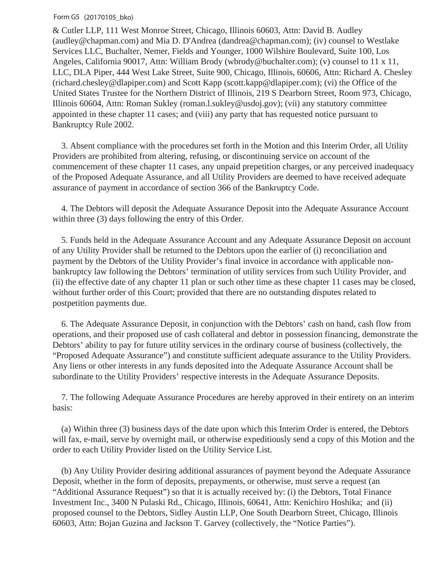### Form G5 (20170105\_bko)

& Cutler LLP, 111 West Monroe Street, Chicago, Illinois 60603, Attn: David B. Audley (audley@chapman.com) and Mia D. D'Andrea (dandrea@chapman.com); (iv) counsel to Westlake Services LLC, Buchalter, Nemer, Fields and Younger, 1000 Wilshire Boulevard, Suite 100, Los Angeles, California 90017, Attn: William Brody (wbrody@buchalter.com); (v) counsel to 11 x 11, LLC, DLA Piper, 444 West Lake Street, Suite 900, Chicago, Illinois, 60606, Attn: Richard A. Chesley (richard.chesley@dlapiper.com) and Scott Kapp (scott.kapp@dlapiper.com); (vi) the Office of the United States Trustee for the Northern District of Illinois, 219 S Dearborn Street, Room 973, Chicago, Illinois 60604, Attn: Roman Sukley (roman.l.sukley@usdoj.gov); (vii) any statutory committee appointed in these chapter 11 cases; and (viii) any party that has requested notice pursuant to Bankruptcy Rule 2002.

 3. Absent compliance with the procedures set forth in the Motion and this Interim Order, all Utility Providers are prohibited from altering, refusing, or discontinuing service on account of the commencement of these chapter 11 cases, any unpaid prepetition charges, or any perceived inadequacy of the Proposed Adequate Assurance, and all Utility Providers are deemed to have received adequate assurance of payment in accordance of section 366 of the Bankruptcy Code.

 4. The Debtors will deposit the Adequate Assurance Deposit into the Adequate Assurance Account within three (3) days following the entry of this Order.

 5. Funds held in the Adequate Assurance Account and any Adequate Assurance Deposit on account of any Utility Provider shall be returned to the Debtors upon the earlier of (i) reconciliation and payment by the Debtors of the Utility Provider's final invoice in accordance with applicable nonbankruptcy law following the Debtors' termination of utility services from such Utility Provider, and (ii) the effective date of any chapter 11 plan or such other time as these chapter 11 cases may be closed, without further order of this Court; provided that there are no outstanding disputes related to postpetition payments due.

 6. The Adequate Assurance Deposit, in conjunction with the Debtors' cash on hand, cash flow from operations, and their proposed use of cash collateral and debtor in possession financing, demonstrate the Debtors' ability to pay for future utility services in the ordinary course of business (collectively, the "Proposed Adequate Assurance") and constitute sufficient adequate assurance to the Utility Providers. Any liens or other interests in any funds deposited into the Adequate Assurance Account shall be subordinate to the Utility Providers' respective interests in the Adequate Assurance Deposits.

 7. The following Adequate Assurance Procedures are hereby approved in their entirety on an interim basis:

 (a) Within three (3) business days of the date upon which this Interim Order is entered, the Debtors will fax, e-mail, serve by overnight mail, or otherwise expeditiously send a copy of this Motion and the order to each Utility Provider listed on the Utility Service List.

 (b) Any Utility Provider desiring additional assurances of payment beyond the Adequate Assurance Deposit, whether in the form of deposits, prepayments, or otherwise, must serve a request (an "Additional Assurance Request") so that it is actually received by: (i) the Debtors, Total Finance Investment Inc., 3400 N Pulaski Rd., Chicago, Illinois, 60641, Attn: Kenichiro Hoshika; and (ii) proposed counsel to the Debtors, Sidley Austin LLP, One South Dearborn Street, Chicago, Illinois 60603, Attn: Bojan Guzina and Jackson T. Garvey (collectively, the "Notice Parties").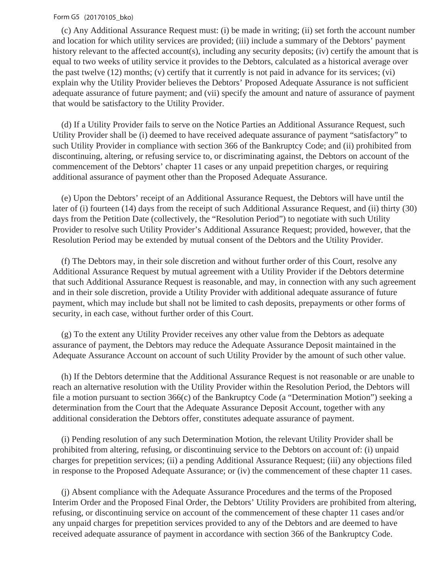#### Form G5 (20170105\_bko)

 (c) Any Additional Assurance Request must: (i) be made in writing; (ii) set forth the account number and location for which utility services are provided; (iii) include a summary of the Debtors' payment history relevant to the affected account(s), including any security deposits; (iv) certify the amount that is equal to two weeks of utility service it provides to the Debtors, calculated as a historical average over the past twelve (12) months; (v) certify that it currently is not paid in advance for its services; (vi) explain why the Utility Provider believes the Debtors' Proposed Adequate Assurance is not sufficient adequate assurance of future payment; and (vii) specify the amount and nature of assurance of payment that would be satisfactory to the Utility Provider.

 (d) If a Utility Provider fails to serve on the Notice Parties an Additional Assurance Request, such Utility Provider shall be (i) deemed to have received adequate assurance of payment "satisfactory" to such Utility Provider in compliance with section 366 of the Bankruptcy Code; and (ii) prohibited from discontinuing, altering, or refusing service to, or discriminating against, the Debtors on account of the commencement of the Debtors' chapter 11 cases or any unpaid prepetition charges, or requiring additional assurance of payment other than the Proposed Adequate Assurance.

 (e) Upon the Debtors' receipt of an Additional Assurance Request, the Debtors will have until the later of (i) fourteen (14) days from the receipt of such Additional Assurance Request, and (ii) thirty (30) days from the Petition Date (collectively, the "Resolution Period") to negotiate with such Utility Provider to resolve such Utility Provider's Additional Assurance Request; provided, however, that the Resolution Period may be extended by mutual consent of the Debtors and the Utility Provider.

 (f) The Debtors may, in their sole discretion and without further order of this Court, resolve any Additional Assurance Request by mutual agreement with a Utility Provider if the Debtors determine that such Additional Assurance Request is reasonable, and may, in connection with any such agreement and in their sole discretion, provide a Utility Provider with additional adequate assurance of future payment, which may include but shall not be limited to cash deposits, prepayments or other forms of security, in each case, without further order of this Court.

 (g) To the extent any Utility Provider receives any other value from the Debtors as adequate assurance of payment, the Debtors may reduce the Adequate Assurance Deposit maintained in the Adequate Assurance Account on account of such Utility Provider by the amount of such other value.

 (h) If the Debtors determine that the Additional Assurance Request is not reasonable or are unable to reach an alternative resolution with the Utility Provider within the Resolution Period, the Debtors will file a motion pursuant to section 366(c) of the Bankruptcy Code (a "Determination Motion") seeking a determination from the Court that the Adequate Assurance Deposit Account, together with any additional consideration the Debtors offer, constitutes adequate assurance of payment.

 (i) Pending resolution of any such Determination Motion, the relevant Utility Provider shall be prohibited from altering, refusing, or discontinuing service to the Debtors on account of: (i) unpaid charges for prepetition services; (ii) a pending Additional Assurance Request; (iii) any objections filed in response to the Proposed Adequate Assurance; or (iv) the commencement of these chapter 11 cases.

 (j) Absent compliance with the Adequate Assurance Procedures and the terms of the Proposed Interim Order and the Proposed Final Order, the Debtors' Utility Providers are prohibited from altering, refusing, or discontinuing service on account of the commencement of these chapter 11 cases and/or any unpaid charges for prepetition services provided to any of the Debtors and are deemed to have received adequate assurance of payment in accordance with section 366 of the Bankruptcy Code.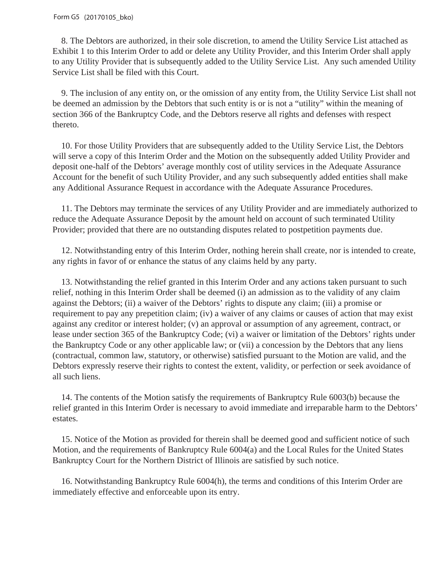8. The Debtors are authorized, in their sole discretion, to amend the Utility Service List attached as Exhibit 1 to this Interim Order to add or delete any Utility Provider, and this Interim Order shall apply to any Utility Provider that is subsequently added to the Utility Service List. Any such amended Utility Service List shall be filed with this Court.

 9. The inclusion of any entity on, or the omission of any entity from, the Utility Service List shall not be deemed an admission by the Debtors that such entity is or is not a "utility" within the meaning of section 366 of the Bankruptcy Code, and the Debtors reserve all rights and defenses with respect thereto.

 10. For those Utility Providers that are subsequently added to the Utility Service List, the Debtors will serve a copy of this Interim Order and the Motion on the subsequently added Utility Provider and deposit one-half of the Debtors' average monthly cost of utility services in the Adequate Assurance Account for the benefit of such Utility Provider, and any such subsequently added entities shall make any Additional Assurance Request in accordance with the Adequate Assurance Procedures.

 11. The Debtors may terminate the services of any Utility Provider and are immediately authorized to reduce the Adequate Assurance Deposit by the amount held on account of such terminated Utility Provider; provided that there are no outstanding disputes related to postpetition payments due.

 12. Notwithstanding entry of this Interim Order, nothing herein shall create, nor is intended to create, any rights in favor of or enhance the status of any claims held by any party.

 13. Notwithstanding the relief granted in this Interim Order and any actions taken pursuant to such relief, nothing in this Interim Order shall be deemed (i) an admission as to the validity of any claim against the Debtors; (ii) a waiver of the Debtors' rights to dispute any claim; (iii) a promise or requirement to pay any prepetition claim; (iv) a waiver of any claims or causes of action that may exist against any creditor or interest holder; (v) an approval or assumption of any agreement, contract, or lease under section 365 of the Bankruptcy Code; (vi) a waiver or limitation of the Debtors' rights under the Bankruptcy Code or any other applicable law; or (vii) a concession by the Debtors that any liens (contractual, common law, statutory, or otherwise) satisfied pursuant to the Motion are valid, and the Debtors expressly reserve their rights to contest the extent, validity, or perfection or seek avoidance of all such liens.

 14. The contents of the Motion satisfy the requirements of Bankruptcy Rule 6003(b) because the relief granted in this Interim Order is necessary to avoid immediate and irreparable harm to the Debtors' estates.

 15. Notice of the Motion as provided for therein shall be deemed good and sufficient notice of such Motion, and the requirements of Bankruptcy Rule 6004(a) and the Local Rules for the United States Bankruptcy Court for the Northern District of Illinois are satisfied by such notice.

 16. Notwithstanding Bankruptcy Rule 6004(h), the terms and conditions of this Interim Order are immediately effective and enforceable upon its entry.